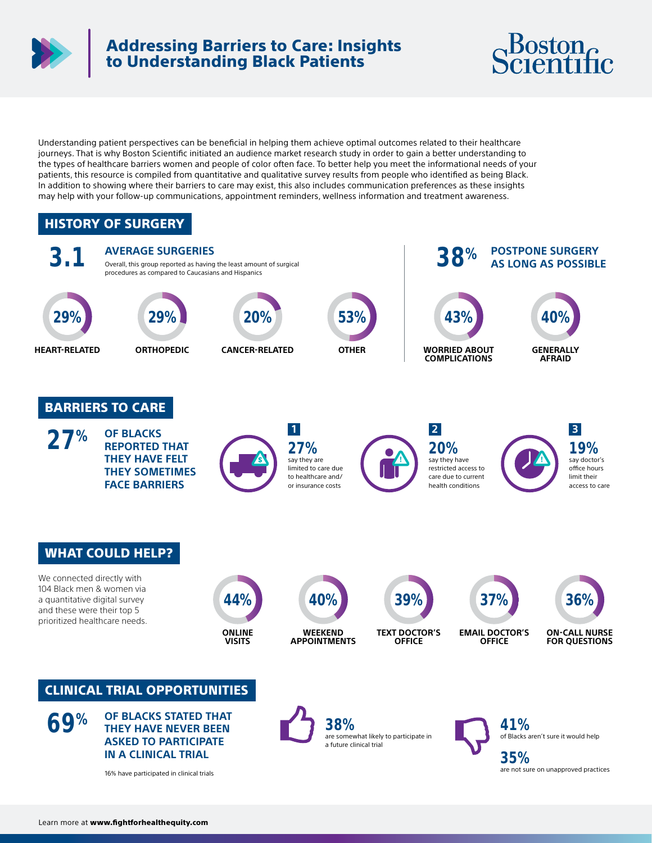

## Addressing Barriers to Care: Insights to Understanding Black Patients



Understanding patient perspectives can be beneficial in helping them achieve optimal outcomes related to their healthcare journeys. That is why Boston Scientific initiated an audience market research study in order to gain a better understanding to the types of healthcare barriers women and people of color often face. To better help you meet the informational needs of your patients, this resource is compiled from quantitative and qualitative survey results from people who identified as being Black. In addition to showing where their barriers to care may exist, this also includes communication preferences as these insights may help with your follow-up communications, appointment reminders, wellness information and treatment awareness.

#### HISTORY OF SURGERY